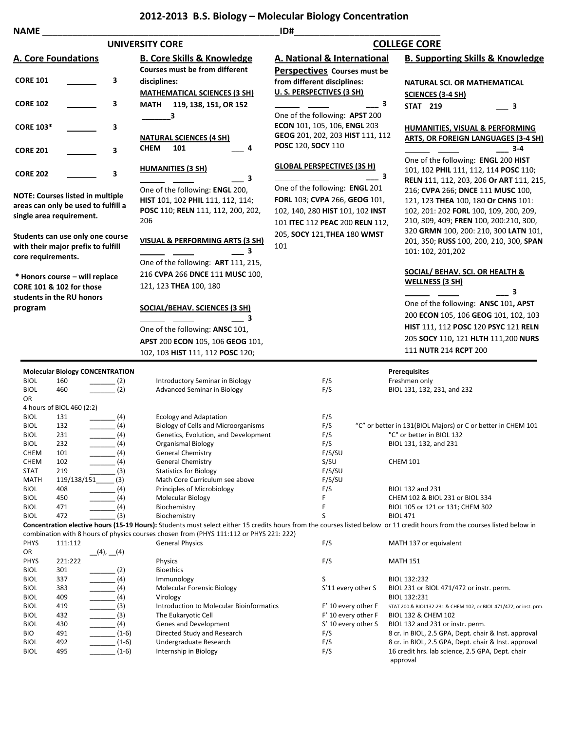## **2012-2013 B.S. Biology – Molecular Biology Concentration**

| <b>NAME</b>                                                                                  |                                                                                                            |                                                |                                                                                                                        | ID#                                                                                                                                                                    |                                                                                                                                                                                                                                                   |  |
|----------------------------------------------------------------------------------------------|------------------------------------------------------------------------------------------------------------|------------------------------------------------|------------------------------------------------------------------------------------------------------------------------|------------------------------------------------------------------------------------------------------------------------------------------------------------------------|---------------------------------------------------------------------------------------------------------------------------------------------------------------------------------------------------------------------------------------------------|--|
| <b>UNIVERSITY CORE</b>                                                                       |                                                                                                            |                                                |                                                                                                                        | <b>COLLEGE CORE</b>                                                                                                                                                    |                                                                                                                                                                                                                                                   |  |
|                                                                                              | <b>A. Core Foundations</b>                                                                                 |                                                | <b>B. Core Skills &amp; Knowledge</b><br>Courses must be from different                                                | <b>A. National &amp; International</b><br>Perspectives Courses must be                                                                                                 | <b>B. Supporting Skills &amp; Knowledge</b>                                                                                                                                                                                                       |  |
| <b>CORE 101</b>                                                                              |                                                                                                            | 3                                              | disciplines:                                                                                                           | from different disciplines:                                                                                                                                            | <b>NATURAL SCI. OR MATHEMATICAL</b>                                                                                                                                                                                                               |  |
| <b>CORE 102</b>                                                                              |                                                                                                            | 3                                              | <b>MATHEMATICAL SCIENCES (3 SH)</b><br>MATH 119, 138, 151, OR 152                                                      | U. S. PERSPECTIVES (3 SH)<br>3                                                                                                                                         | <b>SCIENCES (3-4 SH)</b><br><b>STAT 219</b><br>$\equiv$ 3                                                                                                                                                                                         |  |
| <b>CORE 103*</b>                                                                             |                                                                                                            | 3                                              | 3                                                                                                                      | One of the following: APST 200<br>ECON 101, 105, 106, ENGL 203                                                                                                         | <b>HUMANITIES, VISUAL &amp; PERFORMING</b>                                                                                                                                                                                                        |  |
| <b>CORE 201</b>                                                                              |                                                                                                            | 3                                              | <b>NATURAL SCIENCES (4 SH)</b><br><b>CHEM</b><br>101<br>4                                                              | GEOG 201, 202, 203 HIST 111, 112<br>POSC 120, SOCY 110                                                                                                                 | <b>ARTS, OR FOREIGN LANGUAGES (3-4 SH)</b><br>$-3-4$                                                                                                                                                                                              |  |
| <b>CORE 202</b>                                                                              |                                                                                                            | 3                                              | <b>HUMANITIES (3 SH)</b>                                                                                               | <b>GLOBAL PERSPECTIVES (3S H)</b><br>3                                                                                                                                 | One of the following: ENGL 200 HIST<br>101, 102 PHIL 111, 112, 114 POSC 110;                                                                                                                                                                      |  |
|                                                                                              | <b>NOTE: Courses listed in multiple</b><br>areas can only be used to fulfill a<br>single area requirement. |                                                | З<br>One of the following: ENGL 200,<br>HIST 101, 102 PHIL 111, 112, 114;<br>POSC 110; RELN 111, 112, 200, 202,<br>206 | One of the following: ENGL 201<br>FORL 103; CVPA 266, GEOG 101,<br>102, 140, 280 HIST 101, 102 INST<br>101 ITEC 112 PEAC 200 RELN 112,<br>205, SOCY 121, THEA 180 WMST | RELN 111, 112, 203, 206 Or ART 111, 215,<br>216; CVPA 266; DNCE 111 MUSC 100,<br>121, 123 THEA 100, 180 Or CHNS 101:<br>102, 201: 202 FORL 100, 109, 200, 209,<br>210, 309, 409; FREN 100, 200:210, 300,<br>320 GRMN 100, 200: 210, 300 LATN 101, |  |
| Students can use only one course<br>with their major prefix to fulfill<br>core requirements. |                                                                                                            |                                                | <b>VISUAL &amp; PERFORMING ARTS (3 SH)</b><br>3                                                                        | 101                                                                                                                                                                    | 201, 350; RUSS 100, 200, 210, 300, SPAN<br>101: 102, 201, 202                                                                                                                                                                                     |  |
| * Honors course - will replace<br><b>CORE 101 &amp; 102 for those</b>                        |                                                                                                            |                                                | One of the following: ART 111, 215,<br>216 CVPA 266 DNCE 111 MUSC 100,<br>121, 123 THEA 100, 180                       |                                                                                                                                                                        | <b>SOCIAL/ BEHAV. SCI. OR HEALTH &amp;</b><br><b>WELLNESS (3 SH)</b>                                                                                                                                                                              |  |
|                                                                                              | students in the RU honors                                                                                  |                                                |                                                                                                                        |                                                                                                                                                                        | 3                                                                                                                                                                                                                                                 |  |
| program                                                                                      |                                                                                                            |                                                | <b>SOCIAL/BEHAV. SCIENCES (3 SH)</b>                                                                                   |                                                                                                                                                                        | One of the following: ANSC 101, APST                                                                                                                                                                                                              |  |
|                                                                                              |                                                                                                            |                                                | 3                                                                                                                      |                                                                                                                                                                        | 200 ECON 105, 106 GEOG 101, 102, 103<br>HIST 111, 112 POSC 120 PSYC 121 RELN                                                                                                                                                                      |  |
|                                                                                              |                                                                                                            |                                                | One of the following: ANSC 101,                                                                                        |                                                                                                                                                                        |                                                                                                                                                                                                                                                   |  |
|                                                                                              |                                                                                                            |                                                | APST 200 ECON 105, 106 GEOG 101,                                                                                       |                                                                                                                                                                        | 205 SOCY 110, 121 HLTH 111,200 NURS                                                                                                                                                                                                               |  |
|                                                                                              |                                                                                                            |                                                | 102, 103 HIST 111, 112 POSC 120;                                                                                       |                                                                                                                                                                        | 111 NUTR 214 RCPT 200                                                                                                                                                                                                                             |  |
|                                                                                              |                                                                                                            | <b>Molecular Biology CONCENTRATION</b>         |                                                                                                                        |                                                                                                                                                                        | <b>Prerequisites</b>                                                                                                                                                                                                                              |  |
| <b>BIOL</b>                                                                                  | 160                                                                                                        | $\frac{1}{2}$                                  | Introductory Seminar in Biology                                                                                        | F/S                                                                                                                                                                    | Freshmen only                                                                                                                                                                                                                                     |  |
| <b>BIOL</b><br>OR                                                                            | 460                                                                                                        | $\sim$ (2)                                     | <b>Advanced Seminar in Biology</b>                                                                                     | F/S                                                                                                                                                                    | BIOL 131, 132, 231, and 232                                                                                                                                                                                                                       |  |
| <b>BIOL</b>                                                                                  | 4 hours of BIOL 460 (2:2)<br>131                                                                           | (4)                                            | <b>Ecology and Adaptation</b>                                                                                          | F/S                                                                                                                                                                    |                                                                                                                                                                                                                                                   |  |
| <b>BIOL</b>                                                                                  | 132                                                                                                        | (4)                                            | <b>Biology of Cells and Microorganisms</b>                                                                             | F/S                                                                                                                                                                    | "C" or better in 131(BIOL Majors) or C or better in CHEM 101                                                                                                                                                                                      |  |
| BIOL                                                                                         | 231                                                                                                        | (4)                                            | Genetics, Evolution, and Development                                                                                   | F/S                                                                                                                                                                    | "C" or better in BIOL 132                                                                                                                                                                                                                         |  |
| <b>BIOL</b>                                                                                  | 232                                                                                                        | $\frac{1}{\sqrt{1-\frac{1}{2}}}\left(4\right)$ | Organismal Biology                                                                                                     | F/S                                                                                                                                                                    | BIOL 131, 132, and 231                                                                                                                                                                                                                            |  |
| <b>CHEM</b>                                                                                  | 101                                                                                                        | $\frac{1}{2}$ (4)                              | <b>General Chemistry</b>                                                                                               | F/S/SU                                                                                                                                                                 |                                                                                                                                                                                                                                                   |  |
| <b>CHEM</b>                                                                                  | 102                                                                                                        | (4)                                            | <b>General Chemistry</b>                                                                                               | S/SU                                                                                                                                                                   | <b>CHEM 101</b>                                                                                                                                                                                                                                   |  |
| <b>STAT</b>                                                                                  | 219                                                                                                        | (3)                                            | <b>Statistics for Biology</b>                                                                                          | F/S/SU                                                                                                                                                                 |                                                                                                                                                                                                                                                   |  |
| MATH                                                                                         | 119/138/151                                                                                                | (3)                                            | Math Core Curriculum see above                                                                                         | F/S/SU                                                                                                                                                                 |                                                                                                                                                                                                                                                   |  |
| <b>BIOL</b>                                                                                  | 408                                                                                                        | (4)<br>$\frac{1}{1}$                           | Principles of Microbiology                                                                                             | F/S<br>F                                                                                                                                                               | BIOL 132 and 231                                                                                                                                                                                                                                  |  |
| <b>BIOL</b><br><b>BIOL</b>                                                                   | 450<br>471                                                                                                 | (4)<br>$\frac{1}{2}$ (4)                       | Molecular Biology<br>Biochemistry                                                                                      | F                                                                                                                                                                      | CHEM 102 & BIOL 231 or BIOL 334<br>BIOL 105 or 121 or 131; CHEM 302                                                                                                                                                                               |  |
| <b>BIOL</b>                                                                                  | 472                                                                                                        | (3)                                            | Biochemistry                                                                                                           | S                                                                                                                                                                      | <b>BIOL 471</b>                                                                                                                                                                                                                                   |  |
|                                                                                              |                                                                                                            |                                                |                                                                                                                        |                                                                                                                                                                        | Concentration elective hours (15-19 Hours): Students must select either 15 credits hours from the courses listed below or 11 credit hours from the courses listed below in                                                                        |  |
|                                                                                              |                                                                                                            |                                                | combination with 8 hours of physics courses chosen from (PHYS 111:112 or PHYS 221: 222)                                |                                                                                                                                                                        |                                                                                                                                                                                                                                                   |  |
| <b>PHYS</b>                                                                                  | 111:112                                                                                                    |                                                | <b>General Physics</b>                                                                                                 | F/S                                                                                                                                                                    | MATH 137 or equivalent                                                                                                                                                                                                                            |  |
| OR                                                                                           |                                                                                                            | (4), (4)                                       |                                                                                                                        |                                                                                                                                                                        |                                                                                                                                                                                                                                                   |  |
| PHYS                                                                                         | 221:222                                                                                                    |                                                | Physics                                                                                                                | F/S                                                                                                                                                                    | <b>MATH 151</b>                                                                                                                                                                                                                                   |  |
| <b>BIOL</b>                                                                                  | 301                                                                                                        | $\frac{1}{2}$ (2)                              | <b>Bioethics</b>                                                                                                       |                                                                                                                                                                        |                                                                                                                                                                                                                                                   |  |
| <b>BIOL</b>                                                                                  | 337                                                                                                        | $\frac{1}{2}$ (4)                              | Immunology                                                                                                             | S                                                                                                                                                                      | BIOL 132:232                                                                                                                                                                                                                                      |  |
| <b>BIOL</b>                                                                                  | 383                                                                                                        | $\frac{1}{\sqrt{1-\frac{1}{2}}}\left(4\right)$ | Molecular Forensic Biology                                                                                             | S'11 every other S                                                                                                                                                     | BIOL 231 or BIOL 471/472 or instr. perm.<br>BIOL 132:231                                                                                                                                                                                          |  |
| <b>BIOL</b><br><b>BIOL</b>                                                                   | 409<br>419                                                                                                 | $\frac{1}{2}$ (4)<br>$\frac{1}{\sqrt{3}}$      | Virology<br>Introduction to Molecular Bioinformatics                                                                   | F' 10 every other F                                                                                                                                                    | STAT 200 & BIOL132:231 & CHEM 102, or BIOL 471/472, or inst. prm.                                                                                                                                                                                 |  |
| <b>BIOL</b>                                                                                  | 432                                                                                                        | $\frac{1}{\sqrt{3}}$ (3)                       | The Eukaryotic Cell                                                                                                    | F' 10 every other F                                                                                                                                                    | BIOL 132 & CHEM 102                                                                                                                                                                                                                               |  |
| <b>BIOL</b>                                                                                  | 430                                                                                                        | $\frac{1}{2}$ (4)                              | Genes and Development                                                                                                  | S' 10 every other S                                                                                                                                                    | BIOL 132 and 231 or instr. perm.                                                                                                                                                                                                                  |  |
| <b>BIO</b>                                                                                   | 491                                                                                                        | $\frac{1}{1-6}$                                | Directed Study and Research                                                                                            | F/S                                                                                                                                                                    | 8 cr. in BIOL, 2.5 GPA, Dept. chair & Inst. approval                                                                                                                                                                                              |  |
| <b>BIOL</b>                                                                                  | 492                                                                                                        | $(1-6)$                                        | Undergraduate Research                                                                                                 | F/S                                                                                                                                                                    | 8 cr. in BIOL, 2.5 GPA, Dept. chair & Inst. approval                                                                                                                                                                                              |  |
| <b>BIOL</b>                                                                                  | 495                                                                                                        | $(1-6)$                                        | Internship in Biology                                                                                                  | F/S                                                                                                                                                                    | 16 credit hrs. lab science, 2.5 GPA, Dept. chair<br>approval                                                                                                                                                                                      |  |